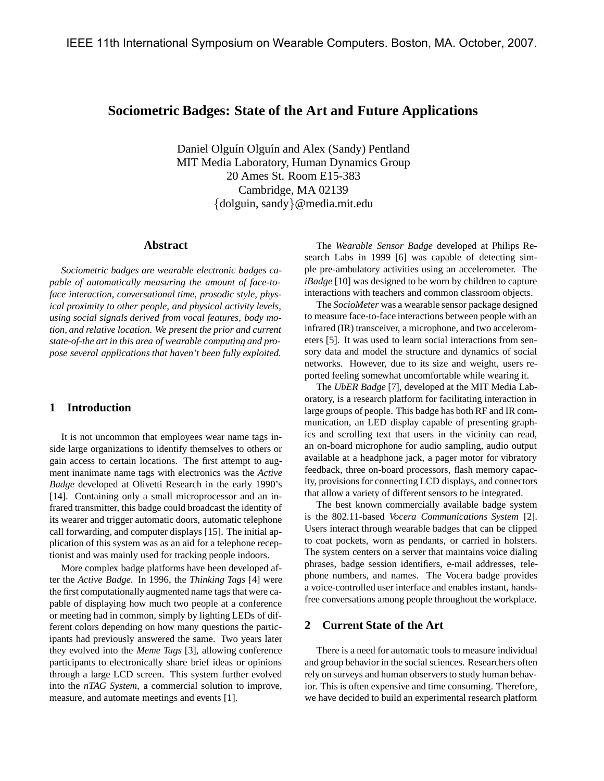# **Sociometric Badges: State of the Art and Future Applications**

Daniel Olguín Olguín and Alex (Sandy) Pentland MIT Media Laboratory, Human Dynamics Group 20 Ames St. Room E15-383 Cambridge, MA 02139 {dolguin, sandy}@media.mit.edu

# **Abstract**

*Sociometric badges are wearable electronic badges capable of automatically measuring the amount of face-toface interaction, conversational time, prosodic style, physical proximity to other people, and physical activity levels, using social signals derived from vocal features, body motion, and relative location. We present the prior and current state-of-the art in this area of wearable computing and propose several applications that haven't been fully exploited.*

#### **1 Introduction**

It is not uncommon that employees wear name tags inside large organizations to identify themselves to others or gain access to certain locations. The first attempt to augment inanimate name tags with electronics was the *Active Badge* developed at Olivetti Research in the early 1990's [14]. Containing only a small microprocessor and an infrared transmitter, this badge could broadcast the identity of its wearer and trigger automatic doors, automatic telephone call forwarding, and computer displays [15]. The initial application of this system was as an aid for a telephone receptionist and was mainly used for tracking people indoors.

More complex badge platforms have been developed after the *Active Badge*. In 1996, the *Thinking Tags* [4] were the first computationally augmented name tags that were capable of displaying how much two people at a conference or meeting had in common, simply by lighting LEDs of different colors depending on how many questions the participants had previously answered the same. Two years later they evolved into the *Meme Tags* [3], allowing conference participants to electronically share brief ideas or opinions through a large LCD screen. This system further evolved into the *nTAG System*, a commercial solution to improve, measure, and automate meetings and events [1].

The *Wearable Sensor Badge* developed at Philips Research Labs in 1999 [6] was capable of detecting simple pre-ambulatory activities using an accelerometer. The *iBadge* [10] was designed to be worn by children to capture interactions with teachers and common classroom objects.

The *SocioMeter* was a wearable sensor package designed to measure face-to-face interactions between people with an infrared (IR) transceiver, a microphone, and two accelerometers [5]. It was used to learn social interactions from sensory data and model the structure and dynamics of social networks. However, due to its size and weight, users reported feeling somewhat uncomfortable while wearing it.

The *UbER Badge* [7], developed at the MIT Media Laboratory, is a research platform for facilitating interaction in large groups of people. This badge has both RF and IR communication, an LED display capable of presenting graphics and scrolling text that users in the vicinity can read, an on-board microphone for audio sampling, audio output available at a headphone jack, a pager motor for vibratory feedback, three on-board processors, flash memory capacity, provisions for connecting LCD displays, and connectors that allow a variety of different sensors to be integrated.

The best known commercially available badge system is the 802.11-based *Vocera Communications System* [2]. Users interact through wearable badges that can be clipped to coat pockets, worn as pendants, or carried in holsters. The system centers on a server that maintains voice dialing phrases, badge session identifiers, e-mail addresses, telephone numbers, and names. The Vocera badge provides a voice-controlled user interface and enables instant, handsfree conversations among people throughout the workplace.

# **2 Current State of the Art**

There is a need for automatic tools to measure individual and group behavior in the social sciences. Researchers often rely on surveys and human observers to study human behavior. This is often expensive and time consuming. Therefore, we have decided to build an experimental research platform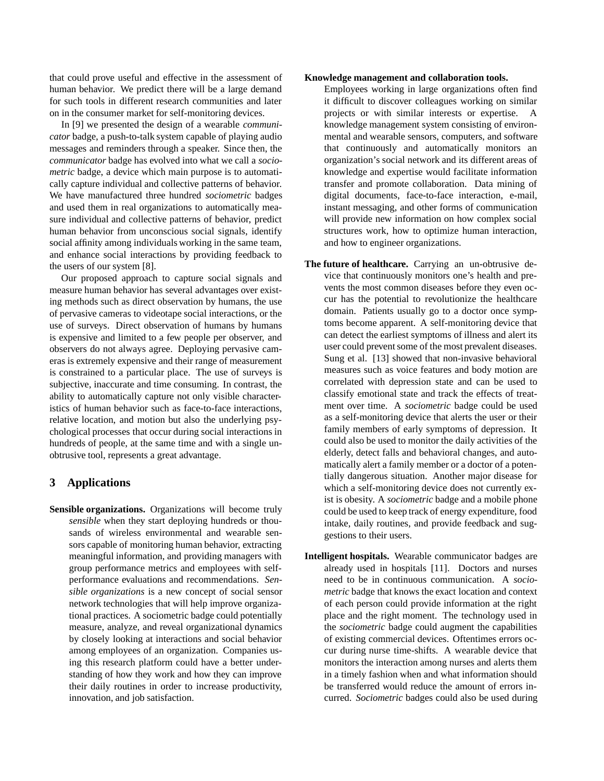that could prove useful and effective in the assessment of human behavior. We predict there will be a large demand for such tools in different research communities and later on in the consumer market for self-monitoring devices.

In [9] we presented the design of a wearable *communicator* badge, a push-to-talk system capable of playing audio messages and reminders through a speaker. Since then, the *communicator* badge has evolved into what we call a *sociometric* badge, a device which main purpose is to automatically capture individual and collective patterns of behavior. We have manufactured three hundred *sociometric* badges and used them in real organizations to automatically measure individual and collective patterns of behavior, predict human behavior from unconscious social signals, identify social affinity among individuals working in the same team, and enhance social interactions by providing feedback to the users of our system [8].

Our proposed approach to capture social signals and measure human behavior has several advantages over existing methods such as direct observation by humans, the use of pervasive cameras to videotape social interactions, or the use of surveys. Direct observation of humans by humans is expensive and limited to a few people per observer, and observers do not always agree. Deploying pervasive cameras is extremely expensive and their range of measurement is constrained to a particular place. The use of surveys is subjective, inaccurate and time consuming. In contrast, the ability to automatically capture not only visible characteristics of human behavior such as face-to-face interactions, relative location, and motion but also the underlying psychological processes that occur during social interactions in hundreds of people, at the same time and with a single unobtrusive tool, represents a great advantage.

# **3 Applications**

**Sensible organizations.** Organizations will become truly *sensible* when they start deploying hundreds or thousands of wireless environmental and wearable sensors capable of monitoring human behavior, extracting meaningful information, and providing managers with group performance metrics and employees with selfperformance evaluations and recommendations. *Sensible organizations* is a new concept of social sensor network technologies that will help improve organizational practices. A sociometric badge could potentially measure, analyze, and reveal organizational dynamics by closely looking at interactions and social behavior among employees of an organization. Companies using this research platform could have a better understanding of how they work and how they can improve their daily routines in order to increase productivity, innovation, and job satisfaction.

#### **Knowledge management and collaboration tools.**

Employees working in large organizations often find it difficult to discover colleagues working on similar projects or with similar interests or expertise. A knowledge management system consisting of environmental and wearable sensors, computers, and software that continuously and automatically monitors an organization's social network and its different areas of knowledge and expertise would facilitate information transfer and promote collaboration. Data mining of digital documents, face-to-face interaction, e-mail, instant messaging, and other forms of communication will provide new information on how complex social structures work, how to optimize human interaction, and how to engineer organizations.

- **The future of healthcare.** Carrying an un-obtrusive device that continuously monitors one's health and prevents the most common diseases before they even occur has the potential to revolutionize the healthcare domain. Patients usually go to a doctor once symptoms become apparent. A self-monitoring device that can detect the earliest symptoms of illness and alert its user could prevent some of the most prevalent diseases. Sung et al. [13] showed that non-invasive behavioral measures such as voice features and body motion are correlated with depression state and can be used to classify emotional state and track the effects of treatment over time. A *sociometric* badge could be used as a self-monitoring device that alerts the user or their family members of early symptoms of depression. It could also be used to monitor the daily activities of the elderly, detect falls and behavioral changes, and automatically alert a family member or a doctor of a potentially dangerous situation. Another major disease for which a self-monitoring device does not currently exist is obesity. A *sociometric* badge and a mobile phone could be used to keep track of energy expenditure, food intake, daily routines, and provide feedback and suggestions to their users.
- **Intelligent hospitals.** Wearable communicator badges are already used in hospitals [11]. Doctors and nurses need to be in continuous communication. A *sociometric* badge that knows the exact location and context of each person could provide information at the right place and the right moment. The technology used in the *sociometric* badge could augment the capabilities of existing commercial devices. Oftentimes errors occur during nurse time-shifts. A wearable device that monitors the interaction among nurses and alerts them in a timely fashion when and what information should be transferred would reduce the amount of errors incurred. *Sociometric* badges could also be used during